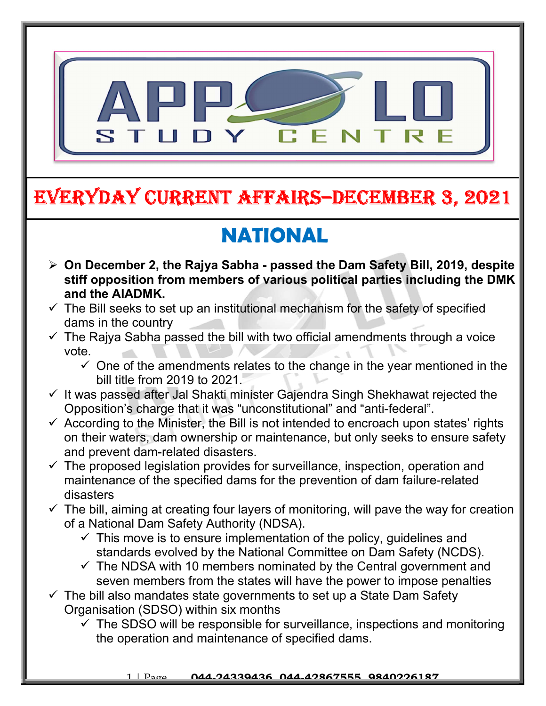

# EVERYDAY CURRENT AFFAIRS–DECEMBER 3, 2021

# NATIONAL

-

- On December 2, the Rajya Sabha passed the Dam Safety Bill, 2019, despite stiff opposition from members of various political parties including the DMK and the AIADMK.
- $\checkmark$  The Bill seeks to set up an institutional mechanism for the safety of specified dams in the country
- $\checkmark$  The Rajya Sabha passed the bill with two official amendments through a voice vote.
	- $\checkmark$  One of the amendments relates to the change in the year mentioned in the bill title from 2019 to 2021.
- $\checkmark$  It was passed after Jal Shakti minister Gajendra Singh Shekhawat rejected the Opposition's charge that it was "unconstitutional" and "anti-federal".
- $\checkmark$  According to the Minister, the Bill is not intended to encroach upon states' rights on their waters, dam ownership or maintenance, but only seeks to ensure safety and prevent dam-related disasters.
- $\checkmark$  The proposed legislation provides for surveillance, inspection, operation and maintenance of the specified dams for the prevention of dam failure-related disasters
- $\checkmark$  The bill, aiming at creating four layers of monitoring, will pave the way for creation of a National Dam Safety Authority (NDSA).
	- $\checkmark$  This move is to ensure implementation of the policy, quidelines and standards evolved by the National Committee on Dam Safety (NCDS).
	- $\checkmark$  The NDSA with 10 members nominated by the Central government and seven members from the states will have the power to impose penalties
- $\checkmark$  The bill also mandates state governments to set up a State Dam Safety Organisation (SDSO) within six months
	- $\checkmark$  The SDSO will be responsible for surveillance, inspections and monitoring the operation and maintenance of specified dams.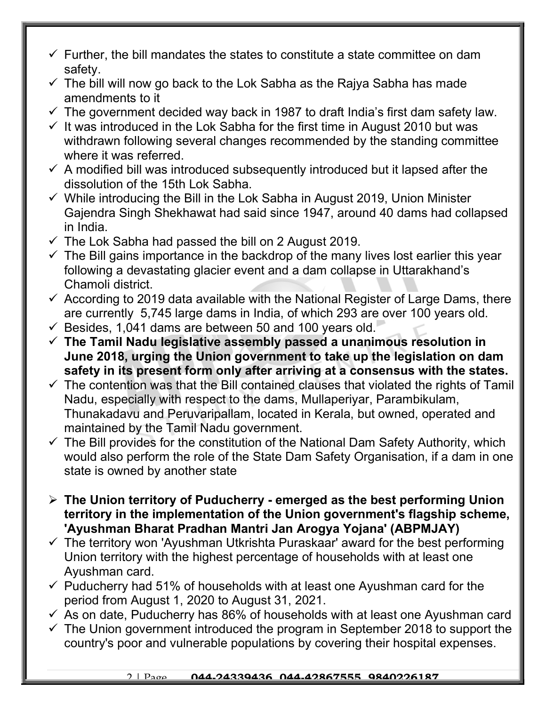- $\checkmark$  Further, the bill mandates the states to constitute a state committee on dam safety.
- $\checkmark$  The bill will now go back to the Lok Sabha as the Rajya Sabha has made amendments to it
- $\checkmark$  The government decided way back in 1987 to draft India's first dam safety law.
- $\checkmark$  It was introduced in the Lok Sabha for the first time in August 2010 but was withdrawn following several changes recommended by the standing committee where it was referred.
- $\checkmark$  A modified bill was introduced subsequently introduced but it lapsed after the dissolution of the 15th Lok Sabha.
- $\checkmark$  While introducing the Bill in the Lok Sabha in August 2019, Union Minister Gajendra Singh Shekhawat had said since 1947, around 40 dams had collapsed in India.
- $\checkmark$  The Lok Sabha had passed the bill on 2 August 2019.
- $\checkmark$  The Bill gains importance in the backdrop of the many lives lost earlier this year following a devastating glacier event and a dam collapse in Uttarakhand's Chamoli district.
- $\checkmark$  According to 2019 data available with the National Register of Large Dams, there are currently 5,745 large dams in India, of which 293 are over 100 years old.
- $\checkmark$  Besides, 1,041 dams are between 50 and 100 years old.
- $\checkmark$  The Tamil Nadu legislative assembly passed a unanimous resolution in June 2018, urging the Union government to take up the legislation on dam safety in its present form only after arriving at a consensus with the states.
- $\checkmark$  The contention was that the Bill contained clauses that violated the rights of Tamil Nadu, especially with respect to the dams, Mullaperiyar, Parambikulam, Thunakadavu and Peruvaripallam, located in Kerala, but owned, operated and maintained by the Tamil Nadu government.
- $\checkmark$  The Bill provides for the constitution of the National Dam Safety Authority, which would also perform the role of the State Dam Safety Organisation, if a dam in one state is owned by another state
- $\triangleright$  The Union territory of Puducherry emerged as the best performing Union territory in the implementation of the Union government's flagship scheme, 'Ayushman Bharat Pradhan Mantri Jan Arogya Yojana' (ABPMJAY)
- $\checkmark$  The territory won 'Ayushman Utkrishta Puraskaar' award for the best performing Union territory with the highest percentage of households with at least one Ayushman card.
- $\checkmark$  Puducherry had 51% of households with at least one Ayushman card for the period from August 1, 2020 to August 31, 2021.
- $\checkmark$  As on date, Puducherry has 86% of households with at least one Ayushman card
- $\checkmark$  The Union government introduced the program in September 2018 to support the country's poor and vulnerable populations by covering their hospital expenses.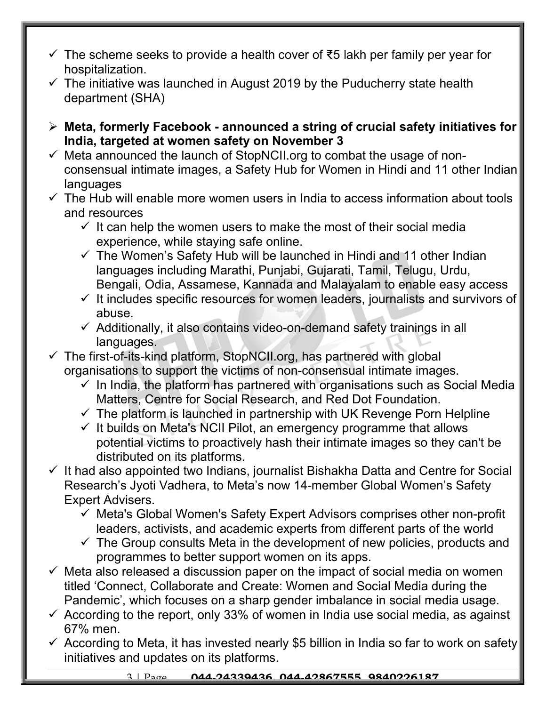- $\checkmark$  The scheme seeks to provide a health cover of ₹5 lakh per family per year for hospitalization.
- $\checkmark$  The initiative was launched in August 2019 by the Puducherry state health department (SHA)
- Meta, formerly Facebook announced a string of crucial safety initiatives for India, targeted at women safety on November 3
- $\checkmark$  Meta announced the launch of StopNCII.org to combat the usage of nonconsensual intimate images, a Safety Hub for Women in Hindi and 11 other Indian languages
- $\checkmark$  The Hub will enable more women users in India to access information about tools and resources
	- $\checkmark$  It can help the women users to make the most of their social media experience, while staying safe online.
	- $\checkmark$  The Women's Safety Hub will be launched in Hindi and 11 other Indian languages including Marathi, Punjabi, Gujarati, Tamil, Telugu, Urdu, Bengali, Odia, Assamese, Kannada and Malayalam to enable easy access
	- $\checkmark$  It includes specific resources for women leaders, journalists and survivors of abuse.
	- $\checkmark$  Additionally, it also contains video-on-demand safety trainings in all languages.
- The first-of-its-kind platform, StopNCII.org, has partnered with global organisations to support the victims of non-consensual intimate images.
	- $\checkmark$  In India, the platform has partnered with organisations such as Social Media Matters, Centre for Social Research, and Red Dot Foundation.
	- $\checkmark$  The platform is launched in partnership with UK Revenge Porn Helpline
	- $\checkmark$  It builds on Meta's NCII Pilot, an emergency programme that allows potential victims to proactively hash their intimate images so they can't be distributed on its platforms.
- $\checkmark$  It had also appointed two Indians, journalist Bishakha Datta and Centre for Social Research's Jyoti Vadhera, to Meta's now 14-member Global Women's Safety Expert Advisers.
	- $\checkmark$  Meta's Global Women's Safety Expert Advisors comprises other non-profit leaders, activists, and academic experts from different parts of the world
	- $\checkmark$  The Group consults Meta in the development of new policies, products and programmes to better support women on its apps.
- $\checkmark$  Meta also released a discussion paper on the impact of social media on women titled 'Connect, Collaborate and Create: Women and Social Media during the Pandemic', which focuses on a sharp gender imbalance in social media usage.
- $\checkmark$  According to the report, only 33% of women in India use social media, as against 67% men.
- $\checkmark$  According to Meta, it has invested nearly \$5 billion in India so far to work on safety initiatives and updates on its platforms.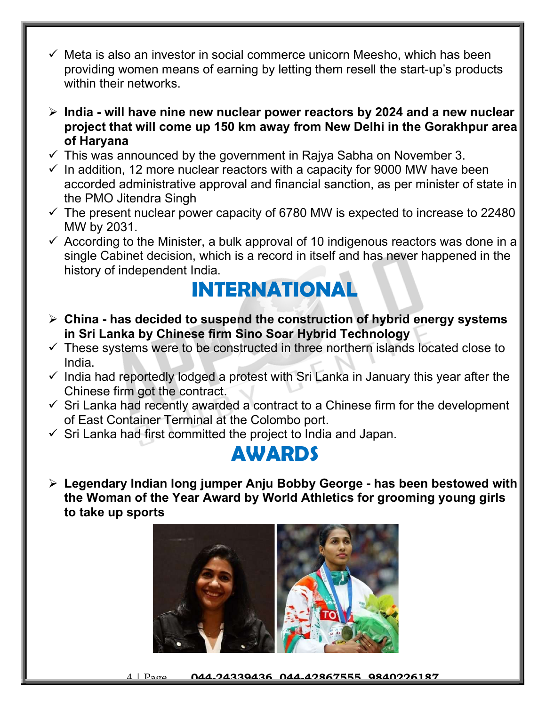- $\checkmark$  Meta is also an investor in social commerce unicorn Meesho, which has been providing women means of earning by letting them resell the start-up's products within their networks.
- $\triangleright$  India will have nine new nuclear power reactors by 2024 and a new nuclear project that will come up 150 km away from New Delhi in the Gorakhpur area of Haryana
- $\checkmark$  This was announced by the government in Rajya Sabha on November 3.
- $\checkmark$  In addition, 12 more nuclear reactors with a capacity for 9000 MW have been accorded administrative approval and financial sanction, as per minister of state in the PMO Jitendra Singh
- $\checkmark$  The present nuclear power capacity of 6780 MW is expected to increase to 22480 MW by 2031.
- $\checkmark$  According to the Minister, a bulk approval of 10 indigenous reactors was done in a single Cabinet decision, which is a record in itself and has never happened in the history of independent India.

### INTERNATIONAL

- $\triangleright$  China has decided to suspend the construction of hybrid energy systems in Sri Lanka by Chinese firm Sino Soar Hybrid Technology
- $\checkmark$  These systems were to be constructed in three northern islands located close to India.
- $\checkmark$  India had reportedly lodged a protest with Sri Lanka in January this year after the Chinese firm got the contract.
- $\checkmark$  Sri Lanka had recently awarded a contract to a Chinese firm for the development of East Container Terminal at the Colombo port.
- $\checkmark$  Sri Lanka had first committed the project to India and Japan.

#### AWARDS

 Legendary Indian long jumper Anju Bobby George - has been bestowed with the Woman of the Year Award by World Athletics for grooming young girls to take up sports

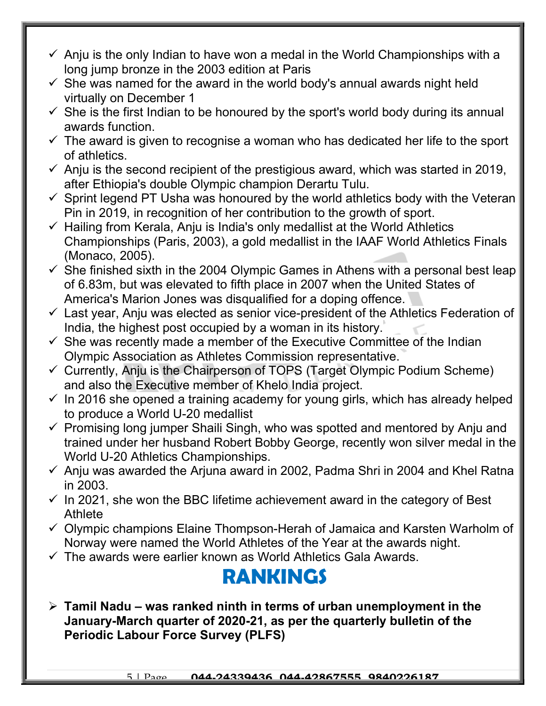- $\checkmark$  Anju is the only Indian to have won a medal in the World Championships with a long jump bronze in the 2003 edition at Paris
- $\checkmark$  She was named for the award in the world body's annual awards night held virtually on December 1
- $\checkmark$  She is the first Indian to be honoured by the sport's world body during its annual awards function.
- $\checkmark$  The award is given to recognise a woman who has dedicated her life to the sport of athletics.
- $\checkmark$  Anju is the second recipient of the prestigious award, which was started in 2019, after Ethiopia's double Olympic champion Derartu Tulu.
- $\checkmark$  Sprint legend PT Usha was honoured by the world athletics body with the Veteran Pin in 2019, in recognition of her contribution to the growth of sport.
- $\checkmark$  Hailing from Kerala, Anju is India's only medallist at the World Athletics Championships (Paris, 2003), a gold medallist in the IAAF World Athletics Finals (Monaco, 2005).
- $\checkmark$  She finished sixth in the 2004 Olympic Games in Athens with a personal best leap of 6.83m, but was elevated to fifth place in 2007 when the United States of America's Marion Jones was disqualified for a doping offence.
- $\checkmark$  Last year, Anju was elected as senior vice-president of the Athletics Federation of India, the highest post occupied by a woman in its history.
- $\checkmark$  She was recently made a member of the Executive Committee of the Indian Olympic Association as Athletes Commission representative.
- $\checkmark$  Currently, Anju is the Chairperson of TOPS (Target Olympic Podium Scheme) and also the Executive member of Khelo India project.
- $\checkmark$  In 2016 she opened a training academy for young girls, which has already helped to produce a World U-20 medallist
- $\checkmark$  Promising long jumper Shaili Singh, who was spotted and mentored by Anju and trained under her husband Robert Bobby George, recently won silver medal in the World U-20 Athletics Championships.
- $\checkmark$  Anju was awarded the Arjuna award in 2002, Padma Shri in 2004 and Khel Ratna in 2003.
- $\checkmark$  In 2021, she won the BBC lifetime achievement award in the category of Best **Athlete**
- $\checkmark$  Olympic champions Elaine Thompson-Herah of Jamaica and Karsten Warholm of Norway were named the World Athletes of the Year at the awards night.
- $\checkmark$  The awards were earlier known as World Athletics Gala Awards.

### RANKINGS

 $\triangleright$  Tamil Nadu – was ranked ninth in terms of urban unemployment in the January-March quarter of 2020-21, as per the quarterly bulletin of the Periodic Labour Force Survey (PLFS)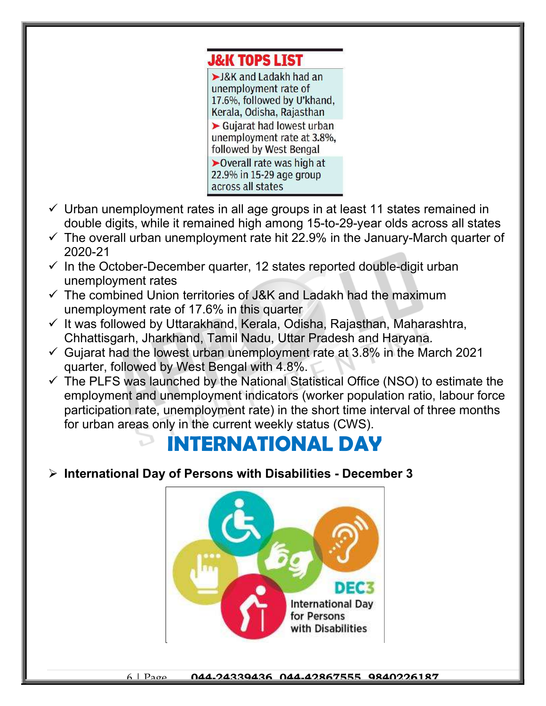

- $\checkmark$  Urban unemployment rates in all age groups in at least 11 states remained in double digits, while it remained high among 15-to-29-year olds across all states
- $\checkmark$  The overall urban unemployment rate hit 22.9% in the January-March quarter of 2020-21
- $\checkmark$  In the October-December quarter, 12 states reported double-digit urban unemployment rates
- $\checkmark$  The combined Union territories of J&K and Ladakh had the maximum unemployment rate of 17.6% in this quarter
- $\checkmark$  It was followed by Uttarakhand, Kerala, Odisha, Rajasthan, Maharashtra, Chhattisgarh, Jharkhand, Tamil Nadu, Uttar Pradesh and Haryana.
- $\checkmark$  Gujarat had the lowest urban unemployment rate at 3.8% in the March 2021 quarter, followed by West Bengal with 4.8%.
- $\checkmark$  The PLFS was launched by the National Statistical Office (NSO) to estimate the employment and unemployment indicators (worker population ratio, labour force participation rate, unemployment rate) in the short time interval of three months for urban areas only in the current weekly status (CWS).

## INTERNATIONAL DAY

#### $\triangleright$  International Day of Persons with Disabilities - December 3